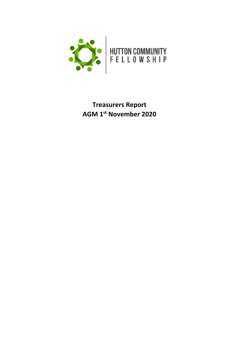

# **Treasurers Report AGM 1 st November 2020**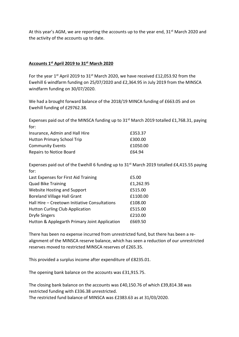At this year's AGM, we are reporting the accounts up to the year end,  $31<sup>st</sup>$  March 2020 and the activity of the accounts up to date.

## **Accounts 1 st April 2019 to 31st March 2020**

For the year 1<sup>st</sup> April 2019 to 31<sup>st</sup> March 2020, we have received £12,053.92 from the Ewehill 6 windfarm funding on 25/07/2020 and £2,364.95 in July 2019 from the MINSCA windfarm funding on 30/07/2020.

We had a brought forward balance of the 2018/19 MINCA funding of £663.05 and on Ewehill funding of £29762.38.

Expenses paid out of the MINSCA funding up to  $31^{st}$  March 2019 totalled £1,768.31, paying for:

| Insurance, Admin and Hall Hire    | £353.37  |
|-----------------------------------|----------|
| <b>Hutton Primary School Trip</b> | £300.00  |
| <b>Community Events</b>           | £1050.00 |
| <b>Repairs to Notice Board</b>    | £64.94   |

Expenses paid out of the Ewehill 6 funding up to  $31<sup>st</sup>$  March 2019 totalled £4,415.55 paying for:

| £5.00     |
|-----------|
| £1,262.95 |
| £515.00   |
| £1100.00  |
| £108.00   |
| £515.00   |
| £210.00   |
| £669.50   |
|           |

There has been no expense incurred from unrestricted fund, but there has been a realignment of the MINSCA reserve balance, which has seen a reduction of our unrestricted reserves moved to restricted MINSCA reserves of £265.35.

This provided a surplus income after expenditure of £8235.01.

The opening bank balance on the accounts was £31,915.75.

The closing bank balance on the accounts was £40,150.76 of which £39,814.38 was restricted funding with £336.38 unrestricted.

The restricted fund balance of MINSCA was £2383.63 as at 31/03/2020.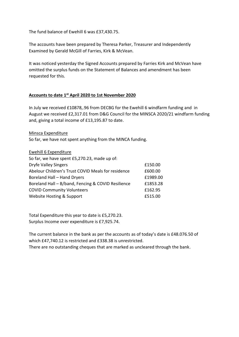The fund balance of Ewehill 6 was £37,430.75.

The accounts have been prepared by Theresa Parker, Treasurer and Independently Examined by Gerald McGill of Farries, Kirk & McVean.

It was noticed yesterday the Signed Accounts prepared by Farries Kirk and McVean have omitted the surplus funds on the Statement of Balances and amendment has been requested for this.

### **Accounts to date 1st April 2020 to 1st November 2020**

In July we received £10878,.96 from DECBG for the Ewehill 6 windfarm funding and in August we received £2,317.01 from D&G Council for the MINSCA 2020/21 windfarm funding and, giving a total income of £13,195.87 to date.

Minsca Expenditure

So far, we have not spent anything from the MINCA funding.

| <b>Ewehill 6 Expenditure</b>                       |          |
|----------------------------------------------------|----------|
| So far, we have spent £5,270.23, made up of:       |          |
| <b>Dryfe Valley Singers</b>                        | £150.00  |
| Abelour Children's Trust COVID Meals for residence | £600.00  |
| Boreland Hall - Hand Dryers                        | £1989.00 |
| Boreland Hall - B/band, Fencing & COVID Resilience | £1853.28 |
| <b>COVID Community Volunteers</b>                  | £162.95  |
| Website Hosting & Support                          | £515.00  |

Total Expenditure this year to date is £5,270.23. Surplus Income over expenditure is £7,925.74.

The current balance in the bank as per the accounts as of today's date is £48.076.50 of which £47,740.12 is restricted and £338.38 is unrestricted.

There are no outstanding cheques that are marked as uncleared through the bank.